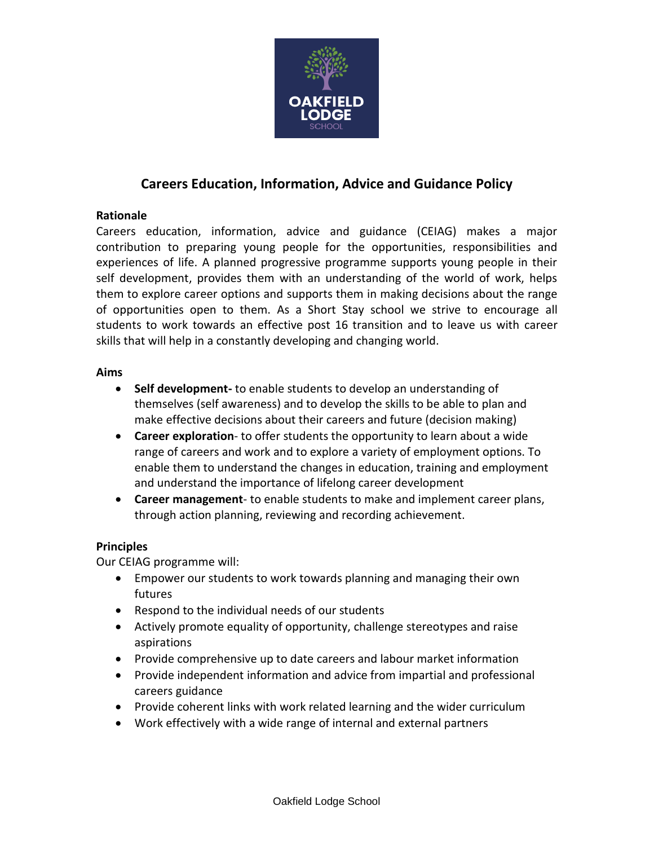

# **Careers Education, Information, Advice and Guidance Policy**

### **Rationale**

Careers education, information, advice and guidance (CEIAG) makes a major contribution to preparing young people for the opportunities, responsibilities and experiences of life. A planned progressive programme supports young people in their self development, provides them with an understanding of the world of work, helps them to explore career options and supports them in making decisions about the range of opportunities open to them. As a Short Stay school we strive to encourage all students to work towards an effective post 16 transition and to leave us with career skills that will help in a constantly developing and changing world.

#### **Aims**

- **Self development-** to enable students to develop an understanding of themselves (self awareness) and to develop the skills to be able to plan and make effective decisions about their careers and future (decision making)
- **Career exploration** to offer students the opportunity to learn about a wide range of careers and work and to explore a variety of employment options. To enable them to understand the changes in education, training and employment and understand the importance of lifelong career development
- **Career management** to enable students to make and implement career plans, through action planning, reviewing and recording achievement.

#### **Principles**

Our CEIAG programme will:

- Empower our students to work towards planning and managing their own futures
- Respond to the individual needs of our students
- Actively promote equality of opportunity, challenge stereotypes and raise aspirations
- Provide comprehensive up to date careers and labour market information
- Provide independent information and advice from impartial and professional careers guidance
- Provide coherent links with work related learning and the wider curriculum
- Work effectively with a wide range of internal and external partners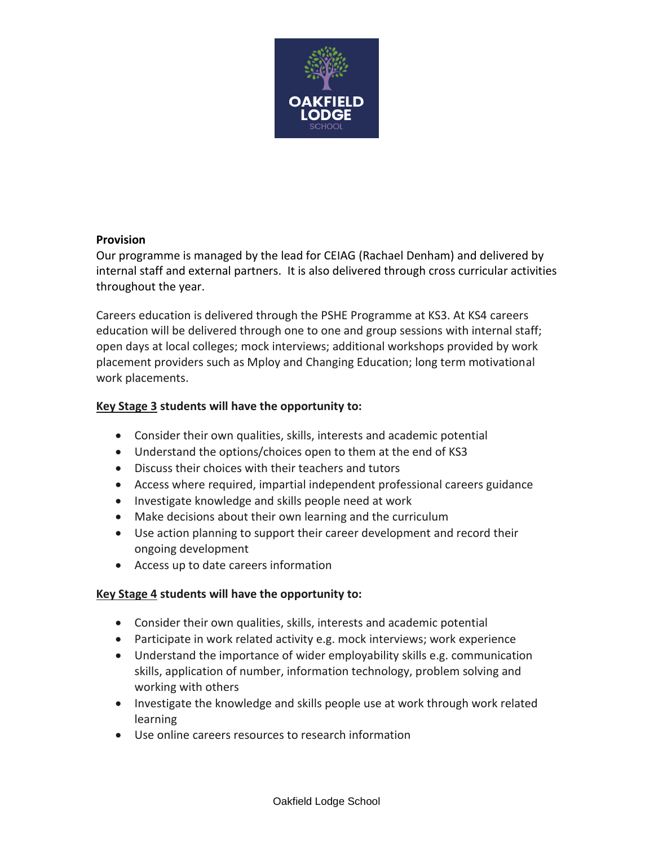

#### **Provision**

Our programme is managed by the lead for CEIAG (Rachael Denham) and delivered by internal staff and external partners. It is also delivered through cross curricular activities throughout the year.

Careers education is delivered through the PSHE Programme at KS3. At KS4 careers education will be delivered through one to one and group sessions with internal staff; open days at local colleges; mock interviews; additional workshops provided by work placement providers such as Mploy and Changing Education; long term motivational work placements.

### **Key Stage 3 students will have the opportunity to:**

- Consider their own qualities, skills, interests and academic potential
- Understand the options/choices open to them at the end of KS3
- Discuss their choices with their teachers and tutors
- Access where required, impartial independent professional careers guidance
- Investigate knowledge and skills people need at work
- Make decisions about their own learning and the curriculum
- Use action planning to support their career development and record their ongoing development
- Access up to date careers information

#### **Key Stage 4 students will have the opportunity to:**

- Consider their own qualities, skills, interests and academic potential
- Participate in work related activity e.g. mock interviews; work experience
- Understand the importance of wider employability skills e.g. communication skills, application of number, information technology, problem solving and working with others
- Investigate the knowledge and skills people use at work through work related learning
- Use online careers resources to research information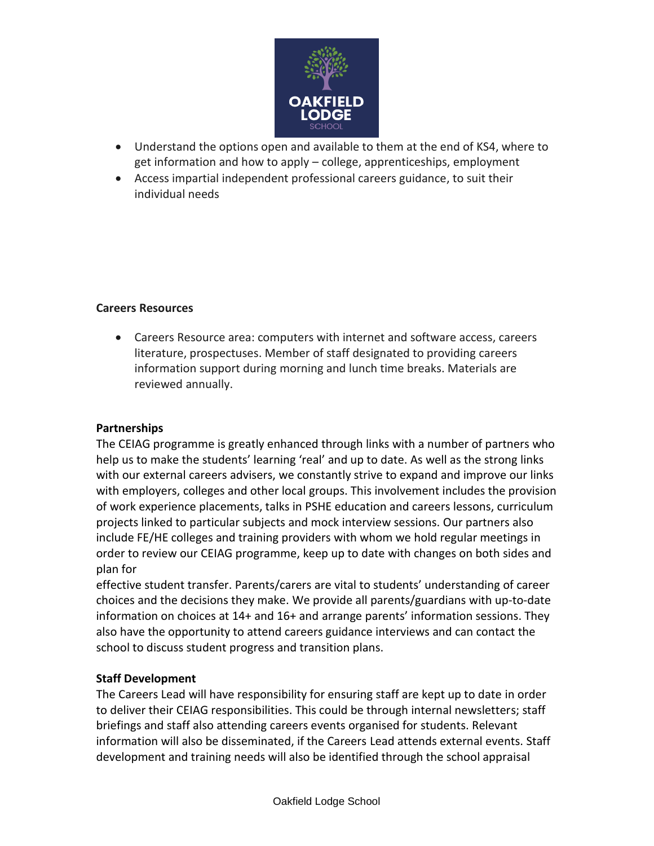

- Understand the options open and available to them at the end of KS4, where to get information and how to apply – college, apprenticeships, employment
- Access impartial independent professional careers guidance, to suit their individual needs

### **Careers Resources**

 Careers Resource area: computers with internet and software access, careers literature, prospectuses. Member of staff designated to providing careers information support during morning and lunch time breaks. Materials are reviewed annually.

#### **Partnerships**

The CEIAG programme is greatly enhanced through links with a number of partners who help us to make the students' learning 'real' and up to date. As well as the strong links with our external careers advisers, we constantly strive to expand and improve our links with employers, colleges and other local groups. This involvement includes the provision of work experience placements, talks in PSHE education and careers lessons, curriculum projects linked to particular subjects and mock interview sessions. Our partners also include FE/HE colleges and training providers with whom we hold regular meetings in order to review our CEIAG programme, keep up to date with changes on both sides and plan for

effective student transfer. Parents/carers are vital to students' understanding of career choices and the decisions they make. We provide all parents/guardians with up-to-date information on choices at 14+ and 16+ and arrange parents' information sessions. They also have the opportunity to attend careers guidance interviews and can contact the school to discuss student progress and transition plans.

### **Staff Development**

The Careers Lead will have responsibility for ensuring staff are kept up to date in order to deliver their CEIAG responsibilities. This could be through internal newsletters; staff briefings and staff also attending careers events organised for students. Relevant information will also be disseminated, if the Careers Lead attends external events. Staff development and training needs will also be identified through the school appraisal